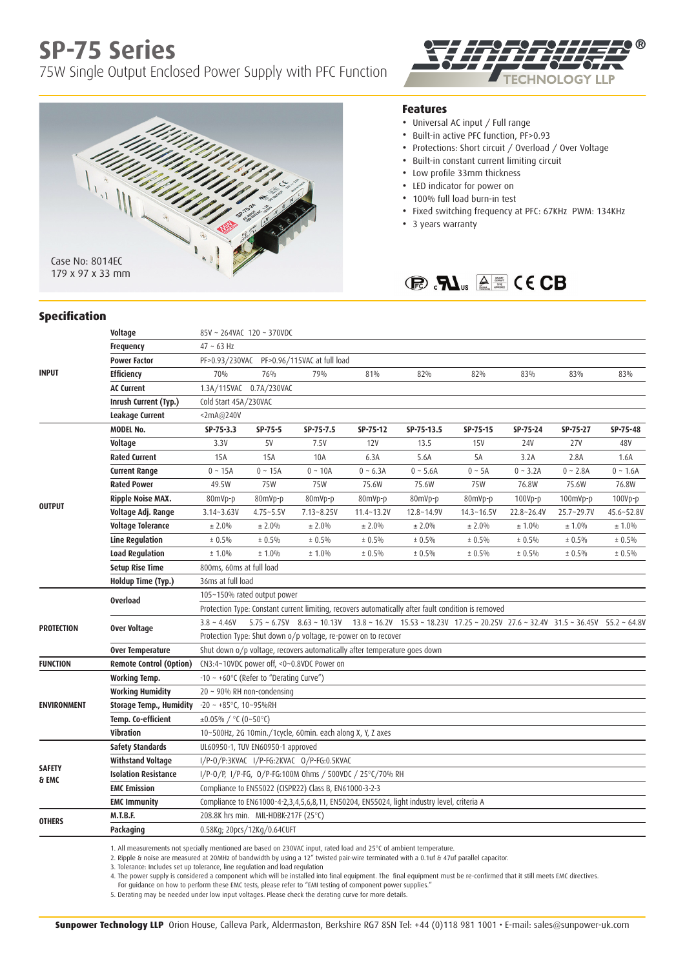## **SP-75 Series**

75W Single Output Enclosed Power Supply with PFC Function



## **HNOLOGY LLP**

## **Features**

- Universal AC input / Full range
- Built-in active PFC function, PF>0.93
- Protections: Short circuit / Overload / Over Voltage
- Built-in constant current limiting circuit
- • Low profile 33mm thickness
- LED indicator for power on
- 100% full load burn-in test
- Fixed switching frequency at PFC: 67KHz PWM: 134KHz
- 3 years warranty



## **Specification**

| $47 - 63$ Hz<br>Frequency<br><b>Power Factor</b><br>PF>0.93/230VAC PF>0.96/115VAC at full load<br><b>INPUT</b><br>70%<br>76%<br>79%<br>81%<br>82%<br>82%<br>83%<br>83%<br>83%<br>Efficiency<br>1.3A/115VAC 0.7A/230VAC<br><b>AC Current</b><br>Inrush Current (Typ.)<br>Cold Start 45A/230VAC<br>Leakage Current<br>$<$ 2mA@240V<br><b>MODEL No.</b><br>$SP-75-5$<br>SP-75-7.5<br>SP-75-12<br>SP-75-13.5<br>SP-75-15<br>SP-75-24<br>SP-75-27<br>SP-75-48<br>SP-75-3.3<br>Voltage<br>5V<br>7.5V<br><b>12V</b><br>13.5<br><b>15V</b><br>24V<br>27V<br>48V<br>3.3V<br><b>Rated Current</b><br><b>15A</b><br><b>15A</b><br>6.3A<br>5.6A<br>10A<br>5A<br>3.2A<br>2.8A<br>1.6A<br>$0 \sim 15A$<br>$0 - 10A$<br>$0 - 5.6A$<br>$0 - 3.2A$<br>$0 - 2.8A$<br>$0 - 1.6A$<br><b>Current Range</b><br>$0 - 15A$<br>$0 - 6.3A$<br>$0 \sim 5A$<br><b>75W</b><br><b>Rated Power</b><br><b>75W</b><br>75.6W<br>75.6W<br><b>75W</b><br>76.8W<br>75.6W<br>76.8W<br>49.5W<br><b>Ripple Noise MAX.</b><br>80mVp-p<br>80mVp-p<br>80mVp-p<br>80mVp-p<br>80mVp-p<br>100Vp-p<br>100mVp-p<br>$100Vp-p$<br>80mVp-p<br><b>OUTPUT</b><br>Voltage Adj. Range<br>$3.14 - 3.63V$<br>4.75~5.5V<br>$7.13 - 8.25V$<br>$11.4 - 13.2V$<br>12.8~14.9V<br>$14.3 - 16.5V$<br>22.8~26.4V<br>25.7~29.7V<br>45.6~52.8V<br>Voltage Tolerance<br>± 2.0%<br>± 2.0%<br>± 2.0%<br>± 2.0%<br>± 2.0%<br>± 2.0%<br>± 1.0%<br>± 1.0%<br>± 1.0%<br><b>Line Regulation</b><br>± 0.5%<br>± 0.5%<br>± 0.5%<br>± 0.5%<br>± 0.5%<br>± 0.5%<br>± 0.5%<br>± 0.5%<br>± 0.5%<br><b>Load Regulation</b><br>± 1.0%<br>± 1.0%<br>± 1.0%<br>± 0.5%<br>± 0.5%<br>± 0.5%<br>± 0.5%<br>± 0.5%<br>± 0.5%<br>Setup Rise Time<br>800ms, 60ms at full load<br>36ms at full load<br>Holdup Time (Typ.)<br>105~150% rated output power<br><b>Overload</b><br>Protection Type: Constant current limiting, recovers automatically after fault condition is removed<br>$3.8 - 4.46V$<br>$5.75 \sim 6.75$ V $8.63 \sim 10.13$ V $13.8 \sim 16.2$ V $15.53 \sim 18.23$ V $17.25 \sim 20.25$ V $27.6 \sim 32.4$ V $31.5 \sim 36.45$ V $55.2 \sim 64.8$ V<br><b>Over Voltage</b><br><b>PROTECTION</b><br>Protection Type: Shut down o/p voltage, re-power on to recover<br><b>Over Temperature</b><br>Shut down o/p voltage, recovers automatically after temperature goes down<br>CN3:4~10VDC power off, <0~0.8VDC Power on<br><b>FUNCTION</b><br>Remote Control (Option)<br>Working Temp.<br>$-10 \sim +60^{\circ}$ C (Refer to "Derating Curve")<br><b>Working Humidity</b><br>$20 \sim 90\%$ RH non-condensing<br><b>Storage Temp., Humidity</b><br><b>ENVIRONMENT</b><br>$-20 \sim +85^{\circ}$ C, 10~95%RH<br>Temp. Co-efficient<br>$\pm 0.05\%$ / °C (0~50°C)<br>Vibration<br>10~500Hz, 2G 10min./1cycle, 60min. each along X, Y, Z axes<br><b>Safety Standards</b><br>UL60950-1, TUV EN60950-1 approved<br>Withstand Voltage<br>I/P-O/P:3KVAC I/P-FG:2KVAC O/P-FG:0.5KVAC<br>SAFETY<br><b>Isolation Resistance</b><br>I/P-0/P, I/P-FG, 0/P-FG:100M 0hms / 500VDC / 25°C/70% RH<br>& EMC<br>Compliance to EN55022 (CISPR22) Class B, EN61000-3-2-3<br><b>EMC Emission</b><br><b>EMC Immunity</b><br>Compliance to EN61000-4-2,3,4,5,6,8,11, EN50204, EN55024, light industry level, criteria A<br><b>M.T.B.F.</b><br>208.8K hrs min. MIL-HDBK-217F (25°C)<br><b>OTHERS</b><br>Packaging<br>0.58Kg; 20pcs/12Kg/0.64CUFT |  | Voltage | 85V ~ 264VAC 120 ~ 370VDC |  |  |  |  |  |  |  |  |  |
|---------------------------------------------------------------------------------------------------------------------------------------------------------------------------------------------------------------------------------------------------------------------------------------------------------------------------------------------------------------------------------------------------------------------------------------------------------------------------------------------------------------------------------------------------------------------------------------------------------------------------------------------------------------------------------------------------------------------------------------------------------------------------------------------------------------------------------------------------------------------------------------------------------------------------------------------------------------------------------------------------------------------------------------------------------------------------------------------------------------------------------------------------------------------------------------------------------------------------------------------------------------------------------------------------------------------------------------------------------------------------------------------------------------------------------------------------------------------------------------------------------------------------------------------------------------------------------------------------------------------------------------------------------------------------------------------------------------------------------------------------------------------------------------------------------------------------------------------------------------------------------------------------------------------------------------------------------------------------------------------------------------------------------------------------------------------------------------------------------------------------------------------------------------------------------------------------------------------------------------------------------------------------------------------------------------------------------------------------------------------------------------------------------------------------------------------------------------------------------------------------------------------------------------------------------------------------------------------------------------------------------------------------------------------------------------------------------------------------------------------------------------------------------------------------------------------------------------------------------------------------------------------------------------------------------------------------------------------------------------------------------------------------------------------------------------------------------------------------------------------------------------------------------------------------------------------------------------------------------------------------------------------------------------------------------------------------------------------|--|---------|---------------------------|--|--|--|--|--|--|--|--|--|
|                                                                                                                                                                                                                                                                                                                                                                                                                                                                                                                                                                                                                                                                                                                                                                                                                                                                                                                                                                                                                                                                                                                                                                                                                                                                                                                                                                                                                                                                                                                                                                                                                                                                                                                                                                                                                                                                                                                                                                                                                                                                                                                                                                                                                                                                                                                                                                                                                                                                                                                                                                                                                                                                                                                                                                                                                                                                                                                                                                                                                                                                                                                                                                                                                                                                                                                                             |  |         |                           |  |  |  |  |  |  |  |  |  |
|                                                                                                                                                                                                                                                                                                                                                                                                                                                                                                                                                                                                                                                                                                                                                                                                                                                                                                                                                                                                                                                                                                                                                                                                                                                                                                                                                                                                                                                                                                                                                                                                                                                                                                                                                                                                                                                                                                                                                                                                                                                                                                                                                                                                                                                                                                                                                                                                                                                                                                                                                                                                                                                                                                                                                                                                                                                                                                                                                                                                                                                                                                                                                                                                                                                                                                                                             |  |         |                           |  |  |  |  |  |  |  |  |  |
|                                                                                                                                                                                                                                                                                                                                                                                                                                                                                                                                                                                                                                                                                                                                                                                                                                                                                                                                                                                                                                                                                                                                                                                                                                                                                                                                                                                                                                                                                                                                                                                                                                                                                                                                                                                                                                                                                                                                                                                                                                                                                                                                                                                                                                                                                                                                                                                                                                                                                                                                                                                                                                                                                                                                                                                                                                                                                                                                                                                                                                                                                                                                                                                                                                                                                                                                             |  |         |                           |  |  |  |  |  |  |  |  |  |
|                                                                                                                                                                                                                                                                                                                                                                                                                                                                                                                                                                                                                                                                                                                                                                                                                                                                                                                                                                                                                                                                                                                                                                                                                                                                                                                                                                                                                                                                                                                                                                                                                                                                                                                                                                                                                                                                                                                                                                                                                                                                                                                                                                                                                                                                                                                                                                                                                                                                                                                                                                                                                                                                                                                                                                                                                                                                                                                                                                                                                                                                                                                                                                                                                                                                                                                                             |  |         |                           |  |  |  |  |  |  |  |  |  |
|                                                                                                                                                                                                                                                                                                                                                                                                                                                                                                                                                                                                                                                                                                                                                                                                                                                                                                                                                                                                                                                                                                                                                                                                                                                                                                                                                                                                                                                                                                                                                                                                                                                                                                                                                                                                                                                                                                                                                                                                                                                                                                                                                                                                                                                                                                                                                                                                                                                                                                                                                                                                                                                                                                                                                                                                                                                                                                                                                                                                                                                                                                                                                                                                                                                                                                                                             |  |         |                           |  |  |  |  |  |  |  |  |  |
|                                                                                                                                                                                                                                                                                                                                                                                                                                                                                                                                                                                                                                                                                                                                                                                                                                                                                                                                                                                                                                                                                                                                                                                                                                                                                                                                                                                                                                                                                                                                                                                                                                                                                                                                                                                                                                                                                                                                                                                                                                                                                                                                                                                                                                                                                                                                                                                                                                                                                                                                                                                                                                                                                                                                                                                                                                                                                                                                                                                                                                                                                                                                                                                                                                                                                                                                             |  |         |                           |  |  |  |  |  |  |  |  |  |
|                                                                                                                                                                                                                                                                                                                                                                                                                                                                                                                                                                                                                                                                                                                                                                                                                                                                                                                                                                                                                                                                                                                                                                                                                                                                                                                                                                                                                                                                                                                                                                                                                                                                                                                                                                                                                                                                                                                                                                                                                                                                                                                                                                                                                                                                                                                                                                                                                                                                                                                                                                                                                                                                                                                                                                                                                                                                                                                                                                                                                                                                                                                                                                                                                                                                                                                                             |  |         |                           |  |  |  |  |  |  |  |  |  |
|                                                                                                                                                                                                                                                                                                                                                                                                                                                                                                                                                                                                                                                                                                                                                                                                                                                                                                                                                                                                                                                                                                                                                                                                                                                                                                                                                                                                                                                                                                                                                                                                                                                                                                                                                                                                                                                                                                                                                                                                                                                                                                                                                                                                                                                                                                                                                                                                                                                                                                                                                                                                                                                                                                                                                                                                                                                                                                                                                                                                                                                                                                                                                                                                                                                                                                                                             |  |         |                           |  |  |  |  |  |  |  |  |  |
|                                                                                                                                                                                                                                                                                                                                                                                                                                                                                                                                                                                                                                                                                                                                                                                                                                                                                                                                                                                                                                                                                                                                                                                                                                                                                                                                                                                                                                                                                                                                                                                                                                                                                                                                                                                                                                                                                                                                                                                                                                                                                                                                                                                                                                                                                                                                                                                                                                                                                                                                                                                                                                                                                                                                                                                                                                                                                                                                                                                                                                                                                                                                                                                                                                                                                                                                             |  |         |                           |  |  |  |  |  |  |  |  |  |
|                                                                                                                                                                                                                                                                                                                                                                                                                                                                                                                                                                                                                                                                                                                                                                                                                                                                                                                                                                                                                                                                                                                                                                                                                                                                                                                                                                                                                                                                                                                                                                                                                                                                                                                                                                                                                                                                                                                                                                                                                                                                                                                                                                                                                                                                                                                                                                                                                                                                                                                                                                                                                                                                                                                                                                                                                                                                                                                                                                                                                                                                                                                                                                                                                                                                                                                                             |  |         |                           |  |  |  |  |  |  |  |  |  |
|                                                                                                                                                                                                                                                                                                                                                                                                                                                                                                                                                                                                                                                                                                                                                                                                                                                                                                                                                                                                                                                                                                                                                                                                                                                                                                                                                                                                                                                                                                                                                                                                                                                                                                                                                                                                                                                                                                                                                                                                                                                                                                                                                                                                                                                                                                                                                                                                                                                                                                                                                                                                                                                                                                                                                                                                                                                                                                                                                                                                                                                                                                                                                                                                                                                                                                                                             |  |         |                           |  |  |  |  |  |  |  |  |  |
|                                                                                                                                                                                                                                                                                                                                                                                                                                                                                                                                                                                                                                                                                                                                                                                                                                                                                                                                                                                                                                                                                                                                                                                                                                                                                                                                                                                                                                                                                                                                                                                                                                                                                                                                                                                                                                                                                                                                                                                                                                                                                                                                                                                                                                                                                                                                                                                                                                                                                                                                                                                                                                                                                                                                                                                                                                                                                                                                                                                                                                                                                                                                                                                                                                                                                                                                             |  |         |                           |  |  |  |  |  |  |  |  |  |
|                                                                                                                                                                                                                                                                                                                                                                                                                                                                                                                                                                                                                                                                                                                                                                                                                                                                                                                                                                                                                                                                                                                                                                                                                                                                                                                                                                                                                                                                                                                                                                                                                                                                                                                                                                                                                                                                                                                                                                                                                                                                                                                                                                                                                                                                                                                                                                                                                                                                                                                                                                                                                                                                                                                                                                                                                                                                                                                                                                                                                                                                                                                                                                                                                                                                                                                                             |  |         |                           |  |  |  |  |  |  |  |  |  |
|                                                                                                                                                                                                                                                                                                                                                                                                                                                                                                                                                                                                                                                                                                                                                                                                                                                                                                                                                                                                                                                                                                                                                                                                                                                                                                                                                                                                                                                                                                                                                                                                                                                                                                                                                                                                                                                                                                                                                                                                                                                                                                                                                                                                                                                                                                                                                                                                                                                                                                                                                                                                                                                                                                                                                                                                                                                                                                                                                                                                                                                                                                                                                                                                                                                                                                                                             |  |         |                           |  |  |  |  |  |  |  |  |  |
|                                                                                                                                                                                                                                                                                                                                                                                                                                                                                                                                                                                                                                                                                                                                                                                                                                                                                                                                                                                                                                                                                                                                                                                                                                                                                                                                                                                                                                                                                                                                                                                                                                                                                                                                                                                                                                                                                                                                                                                                                                                                                                                                                                                                                                                                                                                                                                                                                                                                                                                                                                                                                                                                                                                                                                                                                                                                                                                                                                                                                                                                                                                                                                                                                                                                                                                                             |  |         |                           |  |  |  |  |  |  |  |  |  |
|                                                                                                                                                                                                                                                                                                                                                                                                                                                                                                                                                                                                                                                                                                                                                                                                                                                                                                                                                                                                                                                                                                                                                                                                                                                                                                                                                                                                                                                                                                                                                                                                                                                                                                                                                                                                                                                                                                                                                                                                                                                                                                                                                                                                                                                                                                                                                                                                                                                                                                                                                                                                                                                                                                                                                                                                                                                                                                                                                                                                                                                                                                                                                                                                                                                                                                                                             |  |         |                           |  |  |  |  |  |  |  |  |  |
|                                                                                                                                                                                                                                                                                                                                                                                                                                                                                                                                                                                                                                                                                                                                                                                                                                                                                                                                                                                                                                                                                                                                                                                                                                                                                                                                                                                                                                                                                                                                                                                                                                                                                                                                                                                                                                                                                                                                                                                                                                                                                                                                                                                                                                                                                                                                                                                                                                                                                                                                                                                                                                                                                                                                                                                                                                                                                                                                                                                                                                                                                                                                                                                                                                                                                                                                             |  |         |                           |  |  |  |  |  |  |  |  |  |
|                                                                                                                                                                                                                                                                                                                                                                                                                                                                                                                                                                                                                                                                                                                                                                                                                                                                                                                                                                                                                                                                                                                                                                                                                                                                                                                                                                                                                                                                                                                                                                                                                                                                                                                                                                                                                                                                                                                                                                                                                                                                                                                                                                                                                                                                                                                                                                                                                                                                                                                                                                                                                                                                                                                                                                                                                                                                                                                                                                                                                                                                                                                                                                                                                                                                                                                                             |  |         |                           |  |  |  |  |  |  |  |  |  |
|                                                                                                                                                                                                                                                                                                                                                                                                                                                                                                                                                                                                                                                                                                                                                                                                                                                                                                                                                                                                                                                                                                                                                                                                                                                                                                                                                                                                                                                                                                                                                                                                                                                                                                                                                                                                                                                                                                                                                                                                                                                                                                                                                                                                                                                                                                                                                                                                                                                                                                                                                                                                                                                                                                                                                                                                                                                                                                                                                                                                                                                                                                                                                                                                                                                                                                                                             |  |         |                           |  |  |  |  |  |  |  |  |  |
|                                                                                                                                                                                                                                                                                                                                                                                                                                                                                                                                                                                                                                                                                                                                                                                                                                                                                                                                                                                                                                                                                                                                                                                                                                                                                                                                                                                                                                                                                                                                                                                                                                                                                                                                                                                                                                                                                                                                                                                                                                                                                                                                                                                                                                                                                                                                                                                                                                                                                                                                                                                                                                                                                                                                                                                                                                                                                                                                                                                                                                                                                                                                                                                                                                                                                                                                             |  |         |                           |  |  |  |  |  |  |  |  |  |
|                                                                                                                                                                                                                                                                                                                                                                                                                                                                                                                                                                                                                                                                                                                                                                                                                                                                                                                                                                                                                                                                                                                                                                                                                                                                                                                                                                                                                                                                                                                                                                                                                                                                                                                                                                                                                                                                                                                                                                                                                                                                                                                                                                                                                                                                                                                                                                                                                                                                                                                                                                                                                                                                                                                                                                                                                                                                                                                                                                                                                                                                                                                                                                                                                                                                                                                                             |  |         |                           |  |  |  |  |  |  |  |  |  |
|                                                                                                                                                                                                                                                                                                                                                                                                                                                                                                                                                                                                                                                                                                                                                                                                                                                                                                                                                                                                                                                                                                                                                                                                                                                                                                                                                                                                                                                                                                                                                                                                                                                                                                                                                                                                                                                                                                                                                                                                                                                                                                                                                                                                                                                                                                                                                                                                                                                                                                                                                                                                                                                                                                                                                                                                                                                                                                                                                                                                                                                                                                                                                                                                                                                                                                                                             |  |         |                           |  |  |  |  |  |  |  |  |  |
|                                                                                                                                                                                                                                                                                                                                                                                                                                                                                                                                                                                                                                                                                                                                                                                                                                                                                                                                                                                                                                                                                                                                                                                                                                                                                                                                                                                                                                                                                                                                                                                                                                                                                                                                                                                                                                                                                                                                                                                                                                                                                                                                                                                                                                                                                                                                                                                                                                                                                                                                                                                                                                                                                                                                                                                                                                                                                                                                                                                                                                                                                                                                                                                                                                                                                                                                             |  |         |                           |  |  |  |  |  |  |  |  |  |
|                                                                                                                                                                                                                                                                                                                                                                                                                                                                                                                                                                                                                                                                                                                                                                                                                                                                                                                                                                                                                                                                                                                                                                                                                                                                                                                                                                                                                                                                                                                                                                                                                                                                                                                                                                                                                                                                                                                                                                                                                                                                                                                                                                                                                                                                                                                                                                                                                                                                                                                                                                                                                                                                                                                                                                                                                                                                                                                                                                                                                                                                                                                                                                                                                                                                                                                                             |  |         |                           |  |  |  |  |  |  |  |  |  |
|                                                                                                                                                                                                                                                                                                                                                                                                                                                                                                                                                                                                                                                                                                                                                                                                                                                                                                                                                                                                                                                                                                                                                                                                                                                                                                                                                                                                                                                                                                                                                                                                                                                                                                                                                                                                                                                                                                                                                                                                                                                                                                                                                                                                                                                                                                                                                                                                                                                                                                                                                                                                                                                                                                                                                                                                                                                                                                                                                                                                                                                                                                                                                                                                                                                                                                                                             |  |         |                           |  |  |  |  |  |  |  |  |  |
|                                                                                                                                                                                                                                                                                                                                                                                                                                                                                                                                                                                                                                                                                                                                                                                                                                                                                                                                                                                                                                                                                                                                                                                                                                                                                                                                                                                                                                                                                                                                                                                                                                                                                                                                                                                                                                                                                                                                                                                                                                                                                                                                                                                                                                                                                                                                                                                                                                                                                                                                                                                                                                                                                                                                                                                                                                                                                                                                                                                                                                                                                                                                                                                                                                                                                                                                             |  |         |                           |  |  |  |  |  |  |  |  |  |
|                                                                                                                                                                                                                                                                                                                                                                                                                                                                                                                                                                                                                                                                                                                                                                                                                                                                                                                                                                                                                                                                                                                                                                                                                                                                                                                                                                                                                                                                                                                                                                                                                                                                                                                                                                                                                                                                                                                                                                                                                                                                                                                                                                                                                                                                                                                                                                                                                                                                                                                                                                                                                                                                                                                                                                                                                                                                                                                                                                                                                                                                                                                                                                                                                                                                                                                                             |  |         |                           |  |  |  |  |  |  |  |  |  |
|                                                                                                                                                                                                                                                                                                                                                                                                                                                                                                                                                                                                                                                                                                                                                                                                                                                                                                                                                                                                                                                                                                                                                                                                                                                                                                                                                                                                                                                                                                                                                                                                                                                                                                                                                                                                                                                                                                                                                                                                                                                                                                                                                                                                                                                                                                                                                                                                                                                                                                                                                                                                                                                                                                                                                                                                                                                                                                                                                                                                                                                                                                                                                                                                                                                                                                                                             |  |         |                           |  |  |  |  |  |  |  |  |  |
|                                                                                                                                                                                                                                                                                                                                                                                                                                                                                                                                                                                                                                                                                                                                                                                                                                                                                                                                                                                                                                                                                                                                                                                                                                                                                                                                                                                                                                                                                                                                                                                                                                                                                                                                                                                                                                                                                                                                                                                                                                                                                                                                                                                                                                                                                                                                                                                                                                                                                                                                                                                                                                                                                                                                                                                                                                                                                                                                                                                                                                                                                                                                                                                                                                                                                                                                             |  |         |                           |  |  |  |  |  |  |  |  |  |
|                                                                                                                                                                                                                                                                                                                                                                                                                                                                                                                                                                                                                                                                                                                                                                                                                                                                                                                                                                                                                                                                                                                                                                                                                                                                                                                                                                                                                                                                                                                                                                                                                                                                                                                                                                                                                                                                                                                                                                                                                                                                                                                                                                                                                                                                                                                                                                                                                                                                                                                                                                                                                                                                                                                                                                                                                                                                                                                                                                                                                                                                                                                                                                                                                                                                                                                                             |  |         |                           |  |  |  |  |  |  |  |  |  |
|                                                                                                                                                                                                                                                                                                                                                                                                                                                                                                                                                                                                                                                                                                                                                                                                                                                                                                                                                                                                                                                                                                                                                                                                                                                                                                                                                                                                                                                                                                                                                                                                                                                                                                                                                                                                                                                                                                                                                                                                                                                                                                                                                                                                                                                                                                                                                                                                                                                                                                                                                                                                                                                                                                                                                                                                                                                                                                                                                                                                                                                                                                                                                                                                                                                                                                                                             |  |         |                           |  |  |  |  |  |  |  |  |  |
|                                                                                                                                                                                                                                                                                                                                                                                                                                                                                                                                                                                                                                                                                                                                                                                                                                                                                                                                                                                                                                                                                                                                                                                                                                                                                                                                                                                                                                                                                                                                                                                                                                                                                                                                                                                                                                                                                                                                                                                                                                                                                                                                                                                                                                                                                                                                                                                                                                                                                                                                                                                                                                                                                                                                                                                                                                                                                                                                                                                                                                                                                                                                                                                                                                                                                                                                             |  |         |                           |  |  |  |  |  |  |  |  |  |
|                                                                                                                                                                                                                                                                                                                                                                                                                                                                                                                                                                                                                                                                                                                                                                                                                                                                                                                                                                                                                                                                                                                                                                                                                                                                                                                                                                                                                                                                                                                                                                                                                                                                                                                                                                                                                                                                                                                                                                                                                                                                                                                                                                                                                                                                                                                                                                                                                                                                                                                                                                                                                                                                                                                                                                                                                                                                                                                                                                                                                                                                                                                                                                                                                                                                                                                                             |  |         |                           |  |  |  |  |  |  |  |  |  |
|                                                                                                                                                                                                                                                                                                                                                                                                                                                                                                                                                                                                                                                                                                                                                                                                                                                                                                                                                                                                                                                                                                                                                                                                                                                                                                                                                                                                                                                                                                                                                                                                                                                                                                                                                                                                                                                                                                                                                                                                                                                                                                                                                                                                                                                                                                                                                                                                                                                                                                                                                                                                                                                                                                                                                                                                                                                                                                                                                                                                                                                                                                                                                                                                                                                                                                                                             |  |         |                           |  |  |  |  |  |  |  |  |  |
|                                                                                                                                                                                                                                                                                                                                                                                                                                                                                                                                                                                                                                                                                                                                                                                                                                                                                                                                                                                                                                                                                                                                                                                                                                                                                                                                                                                                                                                                                                                                                                                                                                                                                                                                                                                                                                                                                                                                                                                                                                                                                                                                                                                                                                                                                                                                                                                                                                                                                                                                                                                                                                                                                                                                                                                                                                                                                                                                                                                                                                                                                                                                                                                                                                                                                                                                             |  |         |                           |  |  |  |  |  |  |  |  |  |
|                                                                                                                                                                                                                                                                                                                                                                                                                                                                                                                                                                                                                                                                                                                                                                                                                                                                                                                                                                                                                                                                                                                                                                                                                                                                                                                                                                                                                                                                                                                                                                                                                                                                                                                                                                                                                                                                                                                                                                                                                                                                                                                                                                                                                                                                                                                                                                                                                                                                                                                                                                                                                                                                                                                                                                                                                                                                                                                                                                                                                                                                                                                                                                                                                                                                                                                                             |  |         |                           |  |  |  |  |  |  |  |  |  |

1. All measurements not specially mentioned are based on 230VAC input, rated load and 25°C of ambient temperature.

2. Ripple & noise are measured at 20MHz of bandwidth by using a 12" twisted pair-wire terminated with a 0.1uf & 47uf parallel capacitor.

3. Tolerance: Includes set up tolerance, line regulation and load regulation

4. The power supply is considered a component which will be installed into final equipment. The final equipment must be re-confirmed that it still meets EMC directives.

For guidance on how to perform these EMC tests, please refer to "EMI testing of component power supplies."

5. Derating may be needed under low input voltages. Please check the derating curve for more details.